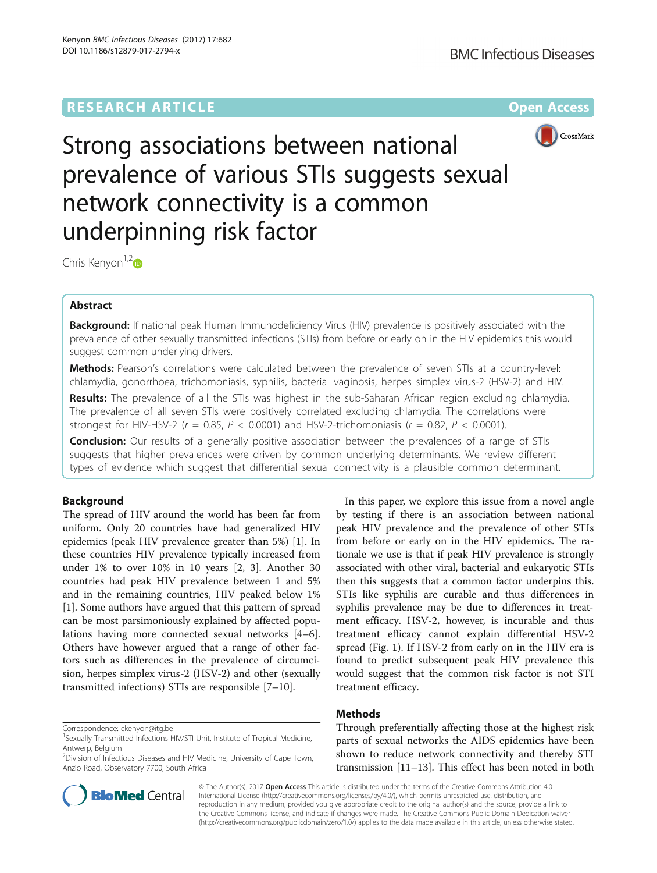# **RESEARCH ARTICLE Example 2014 12:30 The Contract of Contract ACCESS**



Strong associations between national prevalence of various STIs suggests sexual network connectivity is a common underpinning risk factor

Chris Kenyon<sup>1,[2](http://orcid.org/0000-0002-2557-8998)</sup>

# Abstract

Background: If national peak Human Immunodeficiency Virus (HIV) prevalence is positively associated with the prevalence of other sexually transmitted infections (STIs) from before or early on in the HIV epidemics this would suggest common underlying drivers.

Methods: Pearson's correlations were calculated between the prevalence of seven STIs at a country-level: chlamydia, gonorrhoea, trichomoniasis, syphilis, bacterial vaginosis, herpes simplex virus-2 (HSV-2) and HIV.

Results: The prevalence of all the STIs was highest in the sub-Saharan African region excluding chlamydia. The prevalence of all seven STIs were positively correlated excluding chlamydia. The correlations were strongest for HIV-HSV-2 ( $r = 0.85$ ,  $P < 0.0001$ ) and HSV-2-trichomoniasis ( $r = 0.82$ ,  $P < 0.0001$ ).

**Conclusion:** Our results of a generally positive association between the prevalences of a range of STIs suggests that higher prevalences were driven by common underlying determinants. We review different types of evidence which suggest that differential sexual connectivity is a plausible common determinant.

# Background

The spread of HIV around the world has been far from uniform. Only 20 countries have had generalized HIV epidemics (peak HIV prevalence greater than 5%) [\[1](#page-5-0)]. In these countries HIV prevalence typically increased from under 1% to over 10% in 10 years [\[2, 3\]](#page-5-0). Another 30 countries had peak HIV prevalence between 1 and 5% and in the remaining countries, HIV peaked below 1% [[1\]](#page-5-0). Some authors have argued that this pattern of spread can be most parsimoniously explained by affected populations having more connected sexual networks [\[4](#page-5-0)–[6](#page-5-0)]. Others have however argued that a range of other factors such as differences in the prevalence of circumcision, herpes simplex virus-2 (HSV-2) and other (sexually transmitted infections) STIs are responsible [[7](#page-5-0)–[10](#page-5-0)].

by testing if there is an association between national peak HIV prevalence and the prevalence of other STIs from before or early on in the HIV epidemics. The rationale we use is that if peak HIV prevalence is strongly associated with other viral, bacterial and eukaryotic STIs then this suggests that a common factor underpins this. STIs like syphilis are curable and thus differences in syphilis prevalence may be due to differences in treatment efficacy. HSV-2, however, is incurable and thus treatment efficacy cannot explain differential HSV-2 spread (Fig. [1](#page-1-0)). If HSV-2 from early on in the HIV era is found to predict subsequent peak HIV prevalence this would suggest that the common risk factor is not STI treatment efficacy.

In this paper, we explore this issue from a novel angle

# Methods

Through preferentially affecting those at the highest risk parts of sexual networks the AIDS epidemics have been shown to reduce network connectivity and thereby STI transmission [[11](#page-5-0)–[13](#page-5-0)]. This effect has been noted in both



© The Author(s). 2017 **Open Access** This article is distributed under the terms of the Creative Commons Attribution 4.0 International License [\(http://creativecommons.org/licenses/by/4.0/](http://creativecommons.org/licenses/by/4.0/)), which permits unrestricted use, distribution, and reproduction in any medium, provided you give appropriate credit to the original author(s) and the source, provide a link to the Creative Commons license, and indicate if changes were made. The Creative Commons Public Domain Dedication waiver [\(http://creativecommons.org/publicdomain/zero/1.0/](http://creativecommons.org/publicdomain/zero/1.0/)) applies to the data made available in this article, unless otherwise stated.

Correspondence: [ckenyon@itg.be](mailto:ckenyon@itg.be) <sup>1</sup>

<sup>&</sup>lt;sup>1</sup> Sexually Transmitted Infections HIV/STI Unit, Institute of Tropical Medicine, Antwerp, Belgium

<sup>&</sup>lt;sup>2</sup> Division of Infectious Diseases and HIV Medicine, University of Cape Town, Anzio Road, Observatory 7700, South Africa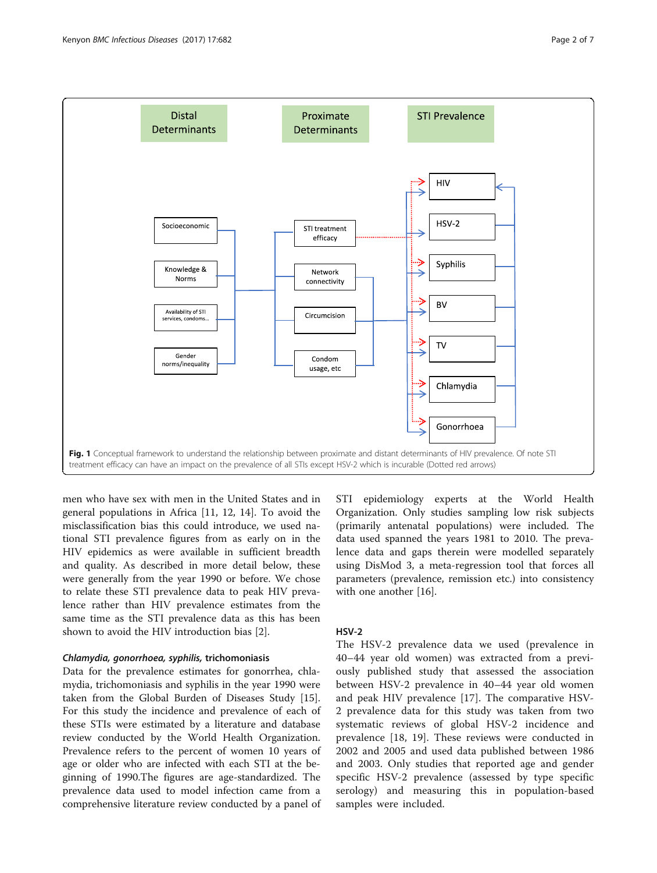<span id="page-1-0"></span>

men who have sex with men in the United States and in general populations in Africa [[11, 12](#page-5-0), [14](#page-5-0)]. To avoid the misclassification bias this could introduce, we used national STI prevalence figures from as early on in the HIV epidemics as were available in sufficient breadth and quality. As described in more detail below, these were generally from the year 1990 or before. We chose to relate these STI prevalence data to peak HIV prevalence rather than HIV prevalence estimates from the same time as the STI prevalence data as this has been shown to avoid the HIV introduction bias [\[2](#page-5-0)].

# Chlamydia, gonorrhoea, syphilis, trichomoniasis

Data for the prevalence estimates for gonorrhea, chlamydia, trichomoniasis and syphilis in the year 1990 were taken from the Global Burden of Diseases Study [\[15](#page-5-0)]. For this study the incidence and prevalence of each of these STIs were estimated by a literature and database review conducted by the World Health Organization. Prevalence refers to the percent of women 10 years of age or older who are infected with each STI at the beginning of 1990.The figures are age-standardized. The prevalence data used to model infection came from a comprehensive literature review conducted by a panel of STI epidemiology experts at the World Health Organization. Only studies sampling low risk subjects (primarily antenatal populations) were included. The data used spanned the years 1981 to 2010. The prevalence data and gaps therein were modelled separately using DisMod 3, a meta-regression tool that forces all parameters (prevalence, remission etc.) into consistency with one another [\[16\]](#page-5-0).

# HSV-2

The HSV-2 prevalence data we used (prevalence in 40–44 year old women) was extracted from a previously published study that assessed the association between HSV-2 prevalence in 40–44 year old women and peak HIV prevalence [[17\]](#page-5-0). The comparative HSV-2 prevalence data for this study was taken from two systematic reviews of global HSV-2 incidence and prevalence [[18, 19\]](#page-5-0). These reviews were conducted in 2002 and 2005 and used data published between 1986 and 2003. Only studies that reported age and gender specific HSV-2 prevalence (assessed by type specific serology) and measuring this in population-based samples were included.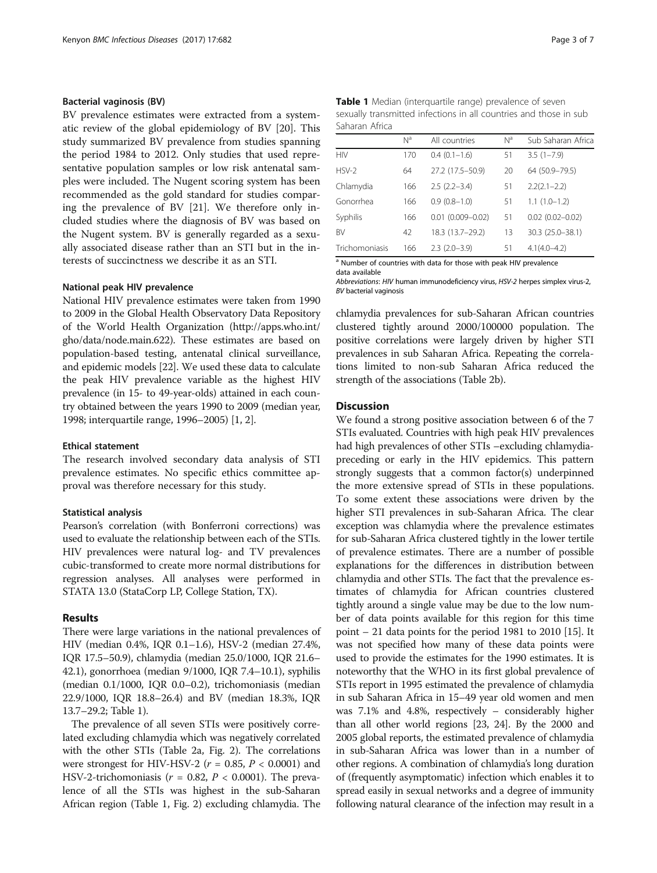# Bacterial vaginosis (BV)

BV prevalence estimates were extracted from a systematic review of the global epidemiology of BV [\[20](#page-5-0)]. This study summarized BV prevalence from studies spanning the period 1984 to 2012. Only studies that used representative population samples or low risk antenatal samples were included. The Nugent scoring system has been recommended as the gold standard for studies comparing the prevalence of BV [[21\]](#page-5-0). We therefore only included studies where the diagnosis of BV was based on the Nugent system. BV is generally regarded as a sexually associated disease rather than an STI but in the interests of succinctness we describe it as an STI.

# National peak HIV prevalence

National HIV prevalence estimates were taken from 1990 to 2009 in the Global Health Observatory Data Repository of the World Health Organization [\(http://apps.who.int/](http://apps.who.int/gho/data/node.main.622) [gho/data/node.main.622\)](http://apps.who.int/gho/data/node.main.622). These estimates are based on population-based testing, antenatal clinical surveillance, and epidemic models [\[22\]](#page-5-0). We used these data to calculate the peak HIV prevalence variable as the highest HIV prevalence (in 15- to 49-year-olds) attained in each country obtained between the years 1990 to 2009 (median year, 1998; interquartile range, 1996–2005) [[1, 2](#page-5-0)].

# Ethical statement

The research involved secondary data analysis of STI prevalence estimates. No specific ethics committee approval was therefore necessary for this study.

### Statistical analysis

Pearson's correlation (with Bonferroni corrections) was used to evaluate the relationship between each of the STIs. HIV prevalences were natural log- and TV prevalences cubic-transformed to create more normal distributions for regression analyses. All analyses were performed in STATA 13.0 (StataCorp LP, College Station, TX).

# Results

There were large variations in the national prevalences of HIV (median 0.4%, IQR 0.1–1.6), HSV-2 (median 27.4%, IQR 17.5–50.9), chlamydia (median 25.0/1000, IQR 21.6– 42.1), gonorrhoea (median 9/1000, IQR 7.4–10.1), syphilis (median 0.1/1000, IQR 0.0–0.2), trichomoniasis (median 22.9/1000, IQR 18.8–26.4) and BV (median 18.3%, IQR 13.7–29.2; Table 1).

The prevalence of all seven STIs were positively correlated excluding chlamydia which was negatively correlated with the other STIs (Table [2a](#page-3-0), Fig. [2](#page-3-0)). The correlations were strongest for HIV-HSV-2 ( $r = 0.85$ ,  $P < 0.0001$ ) and HSV-2-trichomoniasis ( $r = 0.82$ ,  $P < 0.0001$ ). The prevalence of all the STIs was highest in the sub-Saharan African region (Table 1, Fig. [2\)](#page-3-0) excluding chlamydia. The

| Table 1 Median (interquartile range) prevalence of seven          |
|-------------------------------------------------------------------|
| sexually transmitted infections in all countries and those in sub |
| Saharan Africa                                                    |

|                | N <sup>a</sup> | All countries           | $N^a$ | Sub Saharan Africa  |  |
|----------------|----------------|-------------------------|-------|---------------------|--|
| <b>HIV</b>     | 170            | $0.4(0.1-1.6)$          | 51    | $3.5(1 - 7.9)$      |  |
| $HSV-2$        | 64             | 27.2 (17.5-50.9)        | 20    | 64 (50.9-79.5)      |  |
| Chlamydia      | 166            | $2.5(2.2 - 3.4)$        | 51    | $2.2(2.1 - 2.2)$    |  |
| Gonorrhea      | 166            | $0.9(0.8-1.0)$          | 51    | $1.1(1.0-1.2)$      |  |
| Syphilis       | 166            | $0.01$ $(0.009 - 0.02)$ | 51    | $0.02(0.02 - 0.02)$ |  |
| <b>BV</b>      | 42             | 18.3 (13.7-29.2)        | 13    | 30.3 (25.0-38.1)    |  |
| Trichomoniasis | 166            | $2.3(2.0-3.9)$          | 51    | $4.1(4.0 - 4.2)$    |  |

<sup>&</sup>lt;sup>a</sup> Number of countries with data for those with peak HIV prevalence data available

Abbreviations: HIV human immunodeficiency virus, HSV-2 herpes simplex virus-2, BV bacterial vaginosis

chlamydia prevalences for sub-Saharan African countries clustered tightly around 2000/100000 population. The positive correlations were largely driven by higher STI prevalences in sub Saharan Africa. Repeating the correlations limited to non-sub Saharan Africa reduced the strength of the associations (Table [2b](#page-3-0)).

# **Discussion**

We found a strong positive association between 6 of the 7 STIs evaluated. Countries with high peak HIV prevalences had high prevalences of other STIs –excluding chlamydiapreceding or early in the HIV epidemics. This pattern strongly suggests that a common factor(s) underpinned the more extensive spread of STIs in these populations. To some extent these associations were driven by the higher STI prevalences in sub-Saharan Africa. The clear exception was chlamydia where the prevalence estimates for sub-Saharan Africa clustered tightly in the lower tertile of prevalence estimates. There are a number of possible explanations for the differences in distribution between chlamydia and other STIs. The fact that the prevalence estimates of chlamydia for African countries clustered tightly around a single value may be due to the low number of data points available for this region for this time point – 21 data points for the period 1981 to 2010 [\[15](#page-5-0)]. It was not specified how many of these data points were used to provide the estimates for the 1990 estimates. It is noteworthy that the WHO in its first global prevalence of STIs report in 1995 estimated the prevalence of chlamydia in sub Saharan Africa in 15–49 year old women and men was 7.1% and 4.8%, respectively – considerably higher than all other world regions [[23](#page-5-0), [24\]](#page-6-0). By the 2000 and 2005 global reports, the estimated prevalence of chlamydia in sub-Saharan Africa was lower than in a number of other regions. A combination of chlamydia's long duration of (frequently asymptomatic) infection which enables it to spread easily in sexual networks and a degree of immunity following natural clearance of the infection may result in a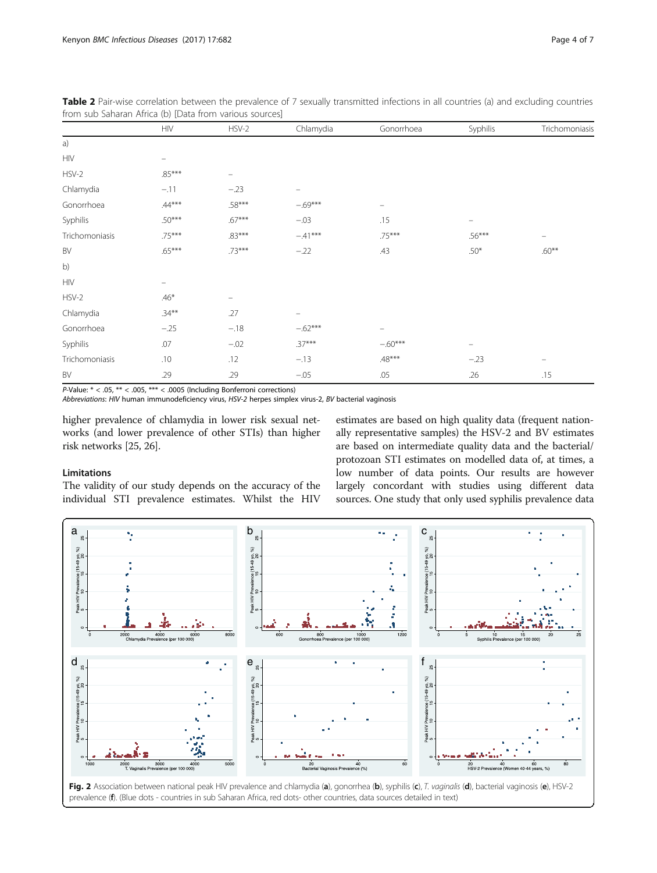|                | <b>HIV</b>               | $HSV-2$  | Chlamydia | Gonorrhoea        | Syphilis                 | Trichomoniasis |
|----------------|--------------------------|----------|-----------|-------------------|--------------------------|----------------|
| a)             |                          |          |           |                   |                          |                |
| <b>HIV</b>     | -                        |          |           |                   |                          |                |
| $HSV-2$        | $.85***$                 | -        |           |                   |                          |                |
| Chlamydia      | $-.11$                   | $-.23$   | -         |                   |                          |                |
| Gonorrhoea     | $.44***$                 | .58***   | $-.69***$ | $\qquad \qquad -$ |                          |                |
| Syphilis       | $.50***$                 | $.67***$ | $-.03$    | .15               | $\overline{\phantom{m}}$ |                |
| Trichomoniasis | $.75***$                 | $.83***$ | $-.41***$ | $.75***$          | $.56***$                 |                |
| BV             | $.65***$                 | $.73***$ | $-.22$    | .43               | $.50*$                   | $.60***$       |
| b)             |                          |          |           |                   |                          |                |
| <b>HIV</b>     | $\overline{\phantom{m}}$ |          |           |                   |                          |                |
| $HSV-2$        | $.46*$                   | -        |           |                   |                          |                |
| Chlamydia      | $.34***$                 | .27      |           |                   |                          |                |
| Gonorrhoea     | $-.25$                   | $-.18$   | $-.62***$ | -                 |                          |                |
| Syphilis       | .07                      | $-02$    | $.37***$  | $-.60***$         | $\overline{\phantom{m}}$ |                |
| Trichomoniasis | .10                      | .12      | $-.13$    | $.48***$          | $-.23$                   | $\equiv$       |
| BV             | .29                      | .29      | $-.05$    | .05               | .26                      | .15            |

<span id="page-3-0"></span>Table 2 Pair-wise correlation between the prevalence of 7 sexually transmitted infections in all countries (a) and excluding countries from sub Saharan Africa (b) [Data from various sources]

P-Value: \* < .05, \*\* < .005, \*\*\* < .0005 (Including Bonferroni corrections)

Abbreviations: HIV human immunodeficiency virus, HSV-2 herpes simplex virus-2, BV bacterial vaginosis

higher prevalence of chlamydia in lower risk sexual networks (and lower prevalence of other STIs) than higher risk networks [\[25, 26](#page-6-0)].

# estimates are based on high quality data (frequent nationally representative samples) the HSV-2 and BV estimates are based on intermediate quality data and the bacterial/ protozoan STI estimates on modelled data of, at times, a low number of data points. Our results are however largely concordant with studies using different data sources. One study that only used syphilis prevalence data

# Limitations

The validity of our study depends on the accuracy of the individual STI prevalence estimates. Whilst the HIV



Fig. 2 Association between national peak HIV prevalence and chlamydia (a), gonorrhea (b), syphilis (c), T. vaginalis (d), bacterial vaginosis (e), HSV-2 prevalence (f). (Blue dots - countries in sub Saharan Africa, red dots- other countries, data sources detailed in text)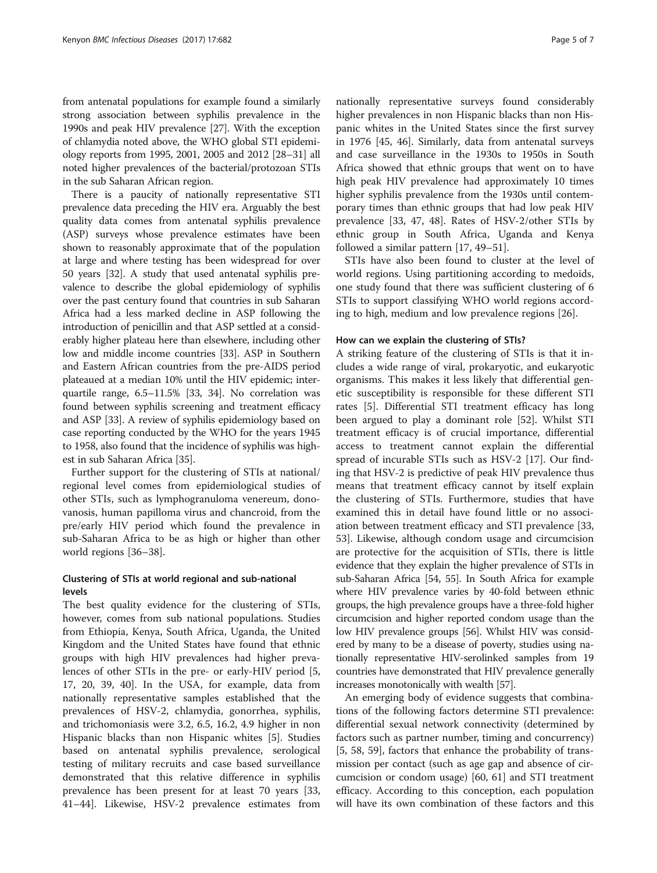from antenatal populations for example found a similarly strong association between syphilis prevalence in the 1990s and peak HIV prevalence [\[27](#page-6-0)]. With the exception of chlamydia noted above, the WHO global STI epidemiology reports from 1995, 2001, 2005 and 2012 [[28](#page-6-0)–[31](#page-6-0)] all noted higher prevalences of the bacterial/protozoan STIs in the sub Saharan African region.

There is a paucity of nationally representative STI prevalence data preceding the HIV era. Arguably the best quality data comes from antenatal syphilis prevalence (ASP) surveys whose prevalence estimates have been shown to reasonably approximate that of the population at large and where testing has been widespread for over 50 years [[32](#page-6-0)]. A study that used antenatal syphilis prevalence to describe the global epidemiology of syphilis over the past century found that countries in sub Saharan Africa had a less marked decline in ASP following the introduction of penicillin and that ASP settled at a considerably higher plateau here than elsewhere, including other low and middle income countries [\[33\]](#page-6-0). ASP in Southern and Eastern African countries from the pre-AIDS period plateaued at a median 10% until the HIV epidemic; interquartile range, 6.5–11.5% [[33](#page-6-0), [34](#page-6-0)]. No correlation was found between syphilis screening and treatment efficacy and ASP [\[33\]](#page-6-0). A review of syphilis epidemiology based on case reporting conducted by the WHO for the years 1945 to 1958, also found that the incidence of syphilis was highest in sub Saharan Africa [\[35\]](#page-6-0).

Further support for the clustering of STIs at national/ regional level comes from epidemiological studies of other STIs, such as lymphogranuloma venereum, donovanosis, human papilloma virus and chancroid, from the pre/early HIV period which found the prevalence in sub-Saharan Africa to be as high or higher than other world regions [[36](#page-6-0)–[38](#page-6-0)].

# Clustering of STIs at world regional and sub-national levels

The best quality evidence for the clustering of STIs, however, comes from sub national populations. Studies from Ethiopia, Kenya, South Africa, Uganda, the United Kingdom and the United States have found that ethnic groups with high HIV prevalences had higher prevalences of other STIs in the pre- or early-HIV period [\[5](#page-5-0), [17, 20,](#page-5-0) [39](#page-6-0), [40\]](#page-6-0). In the USA, for example, data from nationally representative samples established that the prevalences of HSV-2, chlamydia, gonorrhea, syphilis, and trichomoniasis were 3.2, 6.5, 16.2, 4.9 higher in non Hispanic blacks than non Hispanic whites [\[5\]](#page-5-0). Studies based on antenatal syphilis prevalence, serological testing of military recruits and case based surveillance demonstrated that this relative difference in syphilis prevalence has been present for at least 70 years [[33](#page-6-0), [41](#page-6-0)–[44](#page-6-0)]. Likewise, HSV-2 prevalence estimates from

nationally representative surveys found considerably higher prevalences in non Hispanic blacks than non Hispanic whites in the United States since the first survey in 1976 [[45, 46\]](#page-6-0). Similarly, data from antenatal surveys and case surveillance in the 1930s to 1950s in South Africa showed that ethnic groups that went on to have high peak HIV prevalence had approximately 10 times higher syphilis prevalence from the 1930s until contemporary times than ethnic groups that had low peak HIV prevalence [\[33, 47, 48](#page-6-0)]. Rates of HSV-2/other STIs by ethnic group in South Africa, Uganda and Kenya followed a similar pattern [[17,](#page-5-0) [49](#page-6-0)–[51](#page-6-0)].

STIs have also been found to cluster at the level of world regions. Using partitioning according to medoids, one study found that there was sufficient clustering of 6 STIs to support classifying WHO world regions according to high, medium and low prevalence regions [[26\]](#page-6-0).

## How can we explain the clustering of STIs?

A striking feature of the clustering of STIs is that it includes a wide range of viral, prokaryotic, and eukaryotic organisms. This makes it less likely that differential genetic susceptibility is responsible for these different STI rates [[5\]](#page-5-0). Differential STI treatment efficacy has long been argued to play a dominant role [\[52\]](#page-6-0). Whilst STI treatment efficacy is of crucial importance, differential access to treatment cannot explain the differential spread of incurable STIs such as HSV-2 [[17](#page-5-0)]. Our finding that HSV-2 is predictive of peak HIV prevalence thus means that treatment efficacy cannot by itself explain the clustering of STIs. Furthermore, studies that have examined this in detail have found little or no association between treatment efficacy and STI prevalence [[33](#page-6-0), [53\]](#page-6-0). Likewise, although condom usage and circumcision are protective for the acquisition of STIs, there is little evidence that they explain the higher prevalence of STIs in sub-Saharan Africa [\[54, 55](#page-6-0)]. In South Africa for example where HIV prevalence varies by 40-fold between ethnic groups, the high prevalence groups have a three-fold higher circumcision and higher reported condom usage than the low HIV prevalence groups [\[56\]](#page-6-0). Whilst HIV was considered by many to be a disease of poverty, studies using nationally representative HIV-serolinked samples from 19 countries have demonstrated that HIV prevalence generally increases monotonically with wealth [\[57\]](#page-6-0).

An emerging body of evidence suggests that combinations of the following factors determine STI prevalence: differential sexual network connectivity (determined by factors such as partner number, timing and concurrency) [[5,](#page-5-0) [58](#page-6-0), [59\]](#page-6-0), factors that enhance the probability of transmission per contact (such as age gap and absence of circumcision or condom usage) [[60, 61\]](#page-6-0) and STI treatment efficacy. According to this conception, each population will have its own combination of these factors and this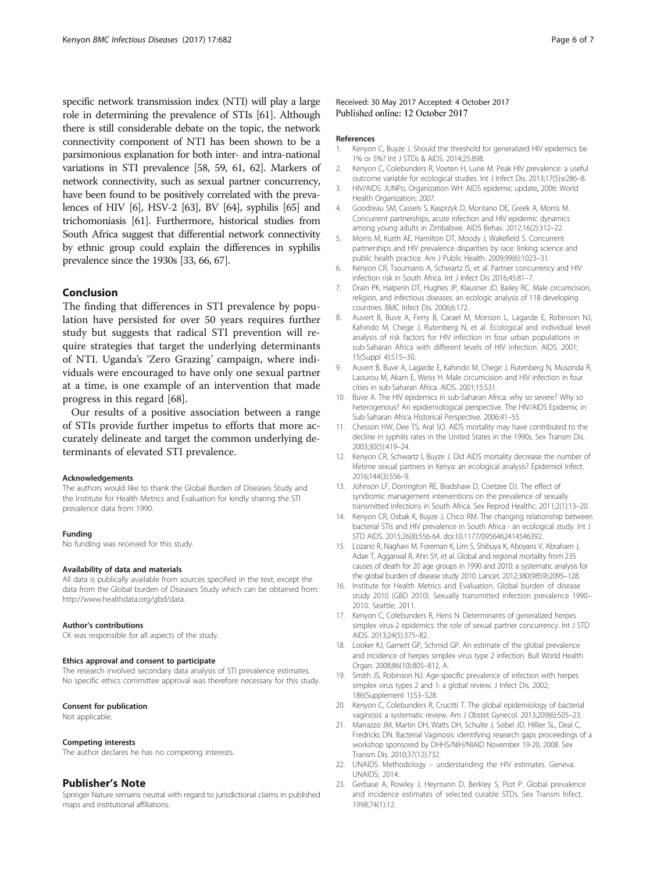<span id="page-5-0"></span>specific network transmission index (NTI) will play a large role in determining the prevalence of STIs [\[61\]](#page-6-0). Although there is still considerable debate on the topic, the network connectivity component of NTI has been shown to be a parsimonious explanation for both inter- and intra-national variations in STI prevalence [[58](#page-6-0), [59](#page-6-0), [61](#page-6-0), [62](#page-6-0)]. Markers of network connectivity, such as sexual partner concurrency, have been found to be positively correlated with the prevalences of HIV [6], HSV-2 [[63\]](#page-6-0), BV [\[64\]](#page-6-0), syphilis [\[65\]](#page-6-0) and trichomoniasis [\[61\]](#page-6-0). Furthermore, historical studies from South Africa suggest that differential network connectivity by ethnic group could explain the differences in syphilis prevalence since the 1930s [\[33, 66, 67\]](#page-6-0).

# Conclusion

The finding that differences in STI prevalence by population have persisted for over 50 years requires further study but suggests that radical STI prevention will require strategies that target the underlying determinants of NTI. Uganda's 'Zero Grazing' campaign, where individuals were encouraged to have only one sexual partner at a time, is one example of an intervention that made progress in this regard [[68\]](#page-6-0).

Our results of a positive association between a range of STIs provide further impetus to efforts that more accurately delineate and target the common underlying determinants of elevated STI prevalence.

#### Acknowledgements

The authors would like to thank the Global Burden of Diseases Study and the Institute for Health Metrics and Evaluation for kindly sharing the STI prevalence data from 1990.

#### Funding

No funding was received for this study.

### Availability of data and materials

All data is publically available from sources specified in the text, except the data from the Global burden of Diseases Study which can be obtained from: [http://www.healthdata.org/gbd/data.](http://www.healthdata.org/gbd/data)

#### Author's contributions

CK was responsible for all aspects of the study.

## Ethics approval and consent to participate

The research involved secondary data analysis of STI prevalence estimates. No specific ethics committee approval was therefore necessary for this study.

### Consent for publication

Not applicable.

#### Competing interests

The author declares he has no competing interests.

### Publisher's Note

Springer Nature remains neutral with regard to jurisdictional claims in published maps and institutional affiliations.

## Received: 30 May 2017 Accepted: 4 October 2017 Published online: 12 October 2017

#### References

- 1. Kenyon C, Buyze J. Should the threshold for generalized HIV epidemics be 1% or 5%? Int J STDs & AIDS. 2014;25:898.
- 2. Kenyon C, Colebunders R, Voeten H, Lurie M. Peak HIV prevalence: a useful outcome variable for ecological studies. Int J Infect Dis. 2013;17(5):e286–8.
- 3. HIV/AIDS. JUNPo, Organization WH: AIDS epidemic update, 2006: World Health Organization; 2007.
- 4. Goodreau SM, Cassels S, Kasprzyk D, Montano DE, Greek A, Morris M. Concurrent partnerships, acute infection and HIV epidemic dynamics among young adults in Zimbabwe. AIDS Behav. 2012;16(2):312–22.
- 5. Morris M, Kurth AE, Hamilton DT, Moody J, Wakefield S. Concurrent partnerships and HIV prevalence disparities by race: linking science and public health practice. Am J Public Health. 2009;99(6):1023–31.
- 6. Kenyon CR, Tsoumanis A, Schwartz IS, et al. Partner concurrency and HIV infection risk in South Africa. Int J Infect Dis 2016;45:81–7.
- 7. Drain PK, Halperin DT, Hughes JP, Klausner JD, Bailey RC. Male circumcision, religion, and infectious diseases: an ecologic analysis of 118 developing countries. BMC Infect Dis. 2006;6:172.
- 8. Auvert B, Buve A, Ferry B, Carael M, Morison L, Lagarde E, Robinson NJ, Kahindo M, Chege J, Rutenberg N, et al. Ecological and individual level analysis of risk factors for HIV infection in four urban populations in sub-Saharan Africa with different levels of HIV infection. AIDS. 2001; 15(Suppl 4):S15–30.
- 9. Auvert B, Buve A, Lagarde E, Kahindo M, Chege J, Rutenberg N, Musonda R, Laourou M, Akam E, Weiss H. Male circumcision and HIV infection in four cities in sub-Saharan Africa. AIDS. 2001;15:S31.
- 10. Buve A. The HIV epidemics in sub-Saharan Africa: why so severe? Why so heterogenous? An epidemiological perspective. The HIV/AIDS Epidemic in Sub-Saharan Africa Historical Perspective. 2006:41–55.
- 11. Chesson HW, Dee TS, Aral SO. AIDS mortality may have contributed to the decline in syphilis rates in the United States in the 1990s. Sex Transm Dis. 2003;30(5):419–24.
- 12. Kenyon CR, Schwartz I, Buyze J. Did AIDS mortality decrease the number of lifetime sexual partners in Kenya: an ecological analysis? Epidemiol Infect. 2016;144(3):556–9.
- 13. Johnson LF, Dorrington RE, Bradshaw D, Coetzee DJ. The effect of syndromic management interventions on the prevalence of sexually transmitted infections in South Africa. Sex Reprod Healthc. 2011;2(1):13–20.
- 14. Kenyon CR, Osbak K, Buyze J, Chico RM. The changing relationship between bacterial STIs and HIV prevalence in South Africa - an ecological study. Int J STD AIDS. 2015;26(8):556-64. doi:[10.1177/0956462414546392](http://dx.doi.org/10.1177/0956462414546392).
- 15. Lozano R, Naghavi M, Foreman K, Lim S, Shibuya K, Aboyans V, Abraham J, Adair T, Aggarwal R, Ahn SY, et al. Global and regional mortality from 235 causes of death for 20 age groups in 1990 and 2010: a systematic analysis for the global burden of disease study 2010. Lancet. 2012;380(9859):2095–128.
- 16. Institute for Health Metrics and Evaluation. Global burden of disease study 2010 (GBD 2010). Sexually transmitted infection prevalence 1990– 2010. Seattle; 2011.
- 17. Kenyon C, Colebunders R, Hens N. Determinants of generalized herpes simplex virus-2 epidemics: the role of sexual partner concurrency. Int J STD AIDS. 2013;24(5):375–82.
- 18. Looker KJ, Garnett GP, Schmid GP. An estimate of the global prevalence and incidence of herpes simplex virus type 2 infection. Bull World Health Organ. 2008;86(10):805–812, A.
- 19. Smith JS, Robinson NJ. Age-specific prevalence of infection with herpes simplex virus types 2 and 1: a global review. J Infect Dis. 2002; 186(Supplement 1):S3–S28.
- 20. Kenyon C, Colebunders R, Crucitti T. The global epidemiology of bacterial vaginosis: a systematic review. Am J Obstet Gynecol. 2013;209(6):505–23.
- 21. Marrazzo JM, Martin DH, Watts DH, Schulte J, Sobel JD, Hillier SL, Deal C, Fredricks DN. Bacterial Vaginosis: identifying research gaps proceedings of a workshop sponsored by DHHS/NIH/NIAID November 19-20, 2008. Sex Transm Dis. 2010;37(12):732.
- 22. UNAIDS. Methodology understanding the HIV estimates. Geneva: UNAIDS; 2014.
- 23. Gerbase A, Rowley J, Heymann D, Berkley S, Piot P. Global prevalence and incidence estimates of selected curable STDs. Sex Transm Infect. 1998;74(1):12.